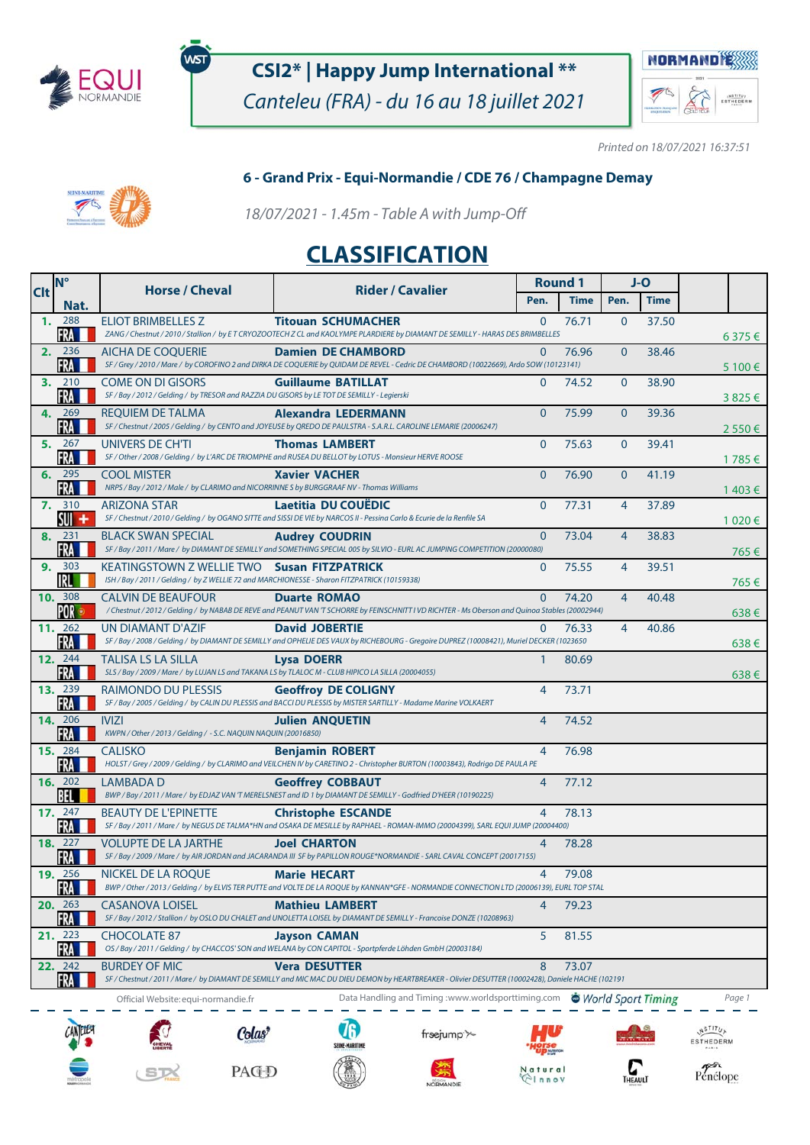

WST

## **CSI2\* | Happy Jump International \*\***

Canteleu (FRA) - du 16 au 18 juillet 2021



Printed on 18/07/2021 16:37:51

# 

#### **6 - Grand Prix - Equi-Normandie / CDE 76 / Champagne Demay**

18/07/2021 - 1.45m - Table A with Jump-Off

### **CLASSIFICATION**

| <b>Clt</b>     | N°                            | <b>Horse / Cheval</b>                                                                                                                       | <b>Rider / Cavalier</b>                                                                                                                                                    | <b>Round 1</b> |             | J-O            |             |            |
|----------------|-------------------------------|---------------------------------------------------------------------------------------------------------------------------------------------|----------------------------------------------------------------------------------------------------------------------------------------------------------------------------|----------------|-------------|----------------|-------------|------------|
|                | Nat.                          |                                                                                                                                             |                                                                                                                                                                            | Pen.           | <b>Time</b> | Pen.           | <b>Time</b> |            |
| $\mathbf{1}$ . | 288                           | <b>ELIOT BRIMBELLES Z</b>                                                                                                                   | <b>Titouan SCHUMACHER</b>                                                                                                                                                  | $\Omega$       | 76.71       | $\mathbf{0}$   | 37.50       |            |
|                | FRA<br>2. 236                 | <b>AICHA DE COOUERIE</b>                                                                                                                    | ZANG / Chestnut / 2010 / Stallion / by ET CRYOZOOTECH Z CL and KAOLYMPE PLARDIERE by DIAMANT DE SEMILLY - HARAS DES BRIMBELLES<br><b>Damien DE CHAMBORD</b>                | $\mathbf{0}$   | 76.96       | $\mathbf{0}$   | 38.46       | $6375 \in$ |
|                | FRA                           |                                                                                                                                             | SF / Grey / 2010 / Mare / by COROFINO 2 and DIRKA DE COQUERIE by QUIDAM DE REVEL - Cedric DE CHAMBORD (10022669), Ardo SOW (10123141)                                      |                |             |                |             | 5 100 €    |
|                | 3. 210<br>FRA                 | COME ON DI GISORS<br>SF / Bay / 2012 / Gelding / by TRESOR and RAZZIA DU GISORS by LE TOT DE SEMILLY - Legierski                            | <b>Guillaume BATILLAT</b>                                                                                                                                                  | $\Omega$       | 74.52       | $\mathbf{0}$   | 38.90       | 3825€      |
|                | 4. 269<br>FRA                 | REOUIEM DE TALMA                                                                                                                            | Alexandra LEDERMANN<br>SF / Chestnut / 2005 / Gelding / by CENTO and JOYEUSE by QREDO DE PAULSTRA - S.A.R.L. CAROLINE LEMARIE (20006247)                                   | $\Omega$       | 75.99       | $\overline{0}$ | 39.36       | 2550€      |
|                | 5. 267<br>FRA                 | UNIVERS DE CH'TI                                                                                                                            | <b>Thomas LAMBERT</b><br>SF / Other / 2008 / Gelding / by L'ARC DE TRIOMPHE and RUSEA DU BELLOT by LOTUS - Monsieur HERVE ROOSE                                            | $\mathbf{0}$   | 75.63       | $\mathbf{0}$   | 39.41       | 1 785 €    |
|                | 6. 295<br><b>FRA</b>          | <b>COOL MISTER</b><br>NRPS / Bay / 2012 / Male / by CLARIMO and NICORRINNE S by BURGGRAAF NV - Thomas Williams                              | <b>Xavier VACHER</b>                                                                                                                                                       | $\overline{0}$ | 76.90       | $\overline{0}$ | 41.19       | 1 403 €    |
|                | 7. 310<br>$SU +$              | <b>ARIZONA STAR</b>                                                                                                                         | Laetitia DU COUEDIC<br>SF / Chestnut / 2010 / Gelding / by OGANO SITTE and SISSI DE VIE by NARCOS II - Pessina Carlo & Ecurie de la Renfile SA                             | $\overline{0}$ | 77.31       | $\overline{4}$ | 37.89       | 1 020 €    |
|                | 8. 231<br>FRA                 | <b>BLACK SWAN SPECIAL</b>                                                                                                                   | <b>Audrey COUDRIN</b><br>SF / Bay / 2011 / Mare / by DIAMANT DE SEMILLY and SOMETHING SPECIAL 005 by SILVIO - EURL AC JUMPING COMPETITION (20000080)                       | $\mathbf{0}$   | 73.04       | 4              | 38.83       | 765€       |
| 9.             | 303<br><b>IRL</b>             | KEATINGSTOWN Z WELLIE TWO Susan FITZPATRICK<br>ISH / Bay / 2011 / Gelding / by Z WELLIE 72 and MARCHIONESSE - Sharon FITZPATRICK (10159338) |                                                                                                                                                                            | $\mathbf{0}$   | 75.55       | 4              | 39.51       |            |
|                | 10. 308<br><b>POR</b>         | <b>CALVIN DE BEAUFOUR</b>                                                                                                                   | <b>Duarte ROMAO</b><br>/Chestnut / 2012 / Gelding / by NABAB DE REVE and PEANUT VAN 'T SCHORRE by FEINSCHNITT I VD RICHTER - Ms Oberson and Quinoa Stables (20002944)      | $\Omega$       | 74.20       | $\overline{4}$ | 40.48       | 765€       |
|                | 11. 262<br><b>FRA</b>         | UN DIAMANT D'AZIF                                                                                                                           | <b>David JOBERTIE</b><br>SF / Bay / 2008 / Gelding / by DIAMANT DE SEMILLY and OPHELIE DES VAUX by RICHEBOURG - Gregoire DUPREZ (10008421), Muriel DECKER (1023650         | $\mathbf{0}$   | 76.33       | $\overline{4}$ | 40.86       | $638 \in$  |
|                | 12. 244<br>FRA                | TALISA LS LA SILLA<br>SLS / Bay / 2009 / Mare / by LUJAN LS and TAKANA LS by TLALOC M - CLUB HIPICO LA SILLA (20004055)                     | <b>Lysa DOERR</b>                                                                                                                                                          |                | 80.69       |                |             | $638 \in$  |
|                | <b>13.</b> 239<br>FRA         | RAIMONDO DU PLESSIS                                                                                                                         | <b>Geoffroy DE COLIGNY</b><br>SF / Bay / 2005 / Gelding / by CALIN DU PLESSIS and BACCI DU PLESSIS by MISTER SARTILLY - Madame Marine VOLKAERT                             | $\overline{4}$ | 73.71       |                |             | $638 \in$  |
|                | <b>14.</b> 206<br>FRA         | <b>IVIZI</b><br>KWPN / Other / 2013 / Gelding / - S.C. NAQUIN NAQUIN (20016850)                                                             | <b>Julien ANQUETIN</b>                                                                                                                                                     | $\overline{4}$ | 74.52       |                |             |            |
|                | <b>15.</b> 284<br>FRA         | <b>CALISKO</b>                                                                                                                              | <b>Benjamin ROBERT</b><br>HOLST / Grey / 2009 / Gelding / by CLARIMO and VEILCHEN IV by CARETINO 2 - Christopher BURTON (10003843), Rodrigo DE PAULA PE                    | $\overline{4}$ | 76.98       |                |             |            |
|                | <b>16.</b> 202<br>BEL         | LAMBADA D                                                                                                                                   | <b>Geoffrey COBBAUT</b><br>BWP / Bay / 2011 / Mare / by EDJAZ VAN 'T MERELSNEST and ID 1 by DIAMANT DE SEMILLY - Godfried D'HEER (10190225)                                | $\overline{4}$ | 77.12       |                |             |            |
|                | 17. 247<br><b>FRA</b>         | <b>BEAUTY DE L'EPINETTE</b>                                                                                                                 | <b>Christophe ESCANDE</b><br>SF / Bay / 2011 / Mare / by NEGUS DE TALMA*HN and OSAKA DE MESILLE by RAPHAEL - ROMAN-IMMO (20004399), SARL EQUI JUMP (20004400)              | $\overline{4}$ | 78.13       |                |             |            |
|                | <b>18.</b> 227<br>FRA         | <b>VOLUPTE DE LA JARTHE</b>                                                                                                                 | <b>Joel CHARTON</b><br>SF / Bay / 2009 / Mare / by AIR JORDAN and JACARANDA III SF by PAPILLON ROUGE*NORMANDIE - SARL CAVAL CONCEPT (20017155)                             | $\overline{4}$ | 78.28       |                |             |            |
|                | <b>19.</b> 256<br><b>FKAL</b> | NICKEL DE LA ROQUE                                                                                                                          | <b>Marie HECART</b><br>BWP / Other / 2013 / Gelding / by ELVIS TER PUTTE and VOLTE DE LA ROQUE by KANNAN*GFE - NORMANDIE CONNECTION LTD (20006139), EURL TOP STAL          | 4              | 79.08       |                |             |            |
|                | 20. 263<br>FRA                | <b>CASANOVA LOISEL</b>                                                                                                                      | <b>Mathieu LAMBERT</b><br>SF / Bay / 2012 / Stallion / by OSLO DU CHALET and UNOLETTA LOISEL by DIAMANT DE SEMILLY - Francoise DONZE (10208963)                            | 4              | 79.23       |                |             |            |
|                | 21. 223<br>FRA                | <b>CHOCOLATE 87</b>                                                                                                                         | <b>Jayson CAMAN</b><br>OS / Bay / 2011 / Gelding / by CHACCOS' SON and WELANA by CON CAPITOL - Sportpferde Löhden GmbH (20003184)                                          | 5              | 81.55       |                |             |            |
|                | 22. 242<br>FRA                | <b>BURDEY OF MIC</b>                                                                                                                        | <b>Vera DESUTTER</b><br>SF / Chestnut / 2011 / Mare / by DIAMANT DE SEMILLY and MIC MAC DU DIEU DEMON by HEARTBREAKER - Olivier DESUTTER (10002428), Daniele HACHE (102191 | 8              | 73.07       |                |             |            |
|                |                               | Official Website: equi-normandie.fr                                                                                                         | Data Handling and Timing :www.worldsporttiming.com World Sport Timing                                                                                                      |                |             |                |             | Page 1     |









frsejump'>





Penélope